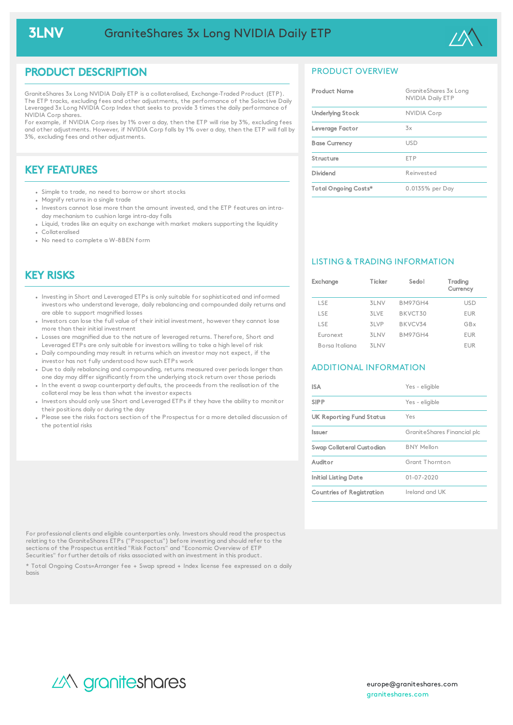

## PRODUCT DESCRIPTION

GraniteShares 3x Long NVIDIA Daily ETP is a collateralised, Exchange-Traded Product (ETP). The ETP tracks, excluding fees and other adjustments, the performance of the Solactive Daily Leveraged 3x Long NVIDIA Corp Index that seeks to provide 3 times the daily performance of NVIDIA Corp shares.

For example, if NVIDIA Corp rises by 1% over a day, then the ETP will rise by 3%, excluding fees and other adjustments. However, if NVIDIA Corp falls by 1% over a day, then the ETP will fall by 3%, excluding fees and other adjustments.

# KEY FEATURES

- Simple to trade, no need to borrow or short stocks
- Magnify returns in a single trade
- Investors cannot lose more than the amount invested, and the ETP features an intraday mechanism to cushion large intra-day falls
- Liquid, trades like an equity on exchange with market makers supporting the liquidity Collateralised
- No need to complete a W-8BEN form

## KEY RISKS

- Investing in Short and Leveraged ETPs is only suitable for sophisticated and informed investors who understand leverage, daily rebalancing and compounded daily returns and are able to support magnified losses
- Investors can lose the full value of their initial investment, however they cannot lose more than their initial investment
- Losses are magnified due to the nature of leveraged returns. Therefore, Short and Leveraged ETPs are only suitable for investors willing to take a high level of risk
- Daily compounding may result in returns which an investor may not expect, if the investor has not fully understood how such ETPs work
- Due to daily rebalancing and compounding, returns measured over periods longer than one day may differ significantly from the underlying stock return over those periods
- In the event a swap counterparty defaults, the proceeds from the realisation of the collateral may be less than what the investor expects
- . Investors should only use Short and Leveraged ETPs if they have the ability to monitor their positions daily or during the day
- Please see the risks factors section of the Prospectus for a more detailed discussion of the potential risks

### PRODUCT OVERVIEW

| <b>Product Name</b>     | GraniteShares 3x Long<br><b>NVIDIA Daily ETP</b> |
|-------------------------|--------------------------------------------------|
| <b>Underlying Stock</b> | <b>NVIDIA Corp</b>                               |
| Leverage Factor         | $\frac{7}{2}x$                                   |
| <b>Base Currency</b>    | <b>USD</b>                                       |
| Structure               | FT P                                             |
| Dividend                | Reinvested                                       |
| Total Ongoing Costs*    | 0.0135% per Day                                  |

### LISTING & TRADING INFORMATION

| Exchange       | Ticker | Sedol   | Trading<br>Currency |
|----------------|--------|---------|---------------------|
| LSE            | 3LNV   | BM97GH4 | <b>USD</b>          |
| LSE            | 3LVE   | BKVCT30 | <b>EUR</b>          |
| <b>ISF</b>     | 31 VP  | BKVCV34 | GBx                 |
| Euronext       | 3LNV   | BM97GH4 | <b>EUR</b>          |
| Borsa Italiana | 3LNV   |         | EUR                 |

### ADDITIONAL INFORMATION

| ISA                             | Yes - eligible              |
|---------------------------------|-----------------------------|
| <b>SIPP</b>                     | Yes - eligible              |
| <b>UK Reporting Fund Status</b> | Yes                         |
| Issuer                          | GraniteShares Financial plc |
| Swap Collateral Custodian       | <b>BNY Mellon</b>           |
| Auditor                         | Grant Thornton              |
| Initial Listing Date            | $01 - 07 - 2020$            |
| Countries of Registration       | Ireland and UK              |

For professional clients and eligible counterparties only. Investors should read the prospectus relating to the GraniteShares ETPs ("Prospectus") before investing and should refer to the sections of the Prospectus entitled "Risk Factors" and "Economic Overview of ETP Securities" for further details of risks associated with an investment in this product.

\* Total Ongoing Costs=Arranger fee + Swap spread + Index license fee expressed on a daily basis